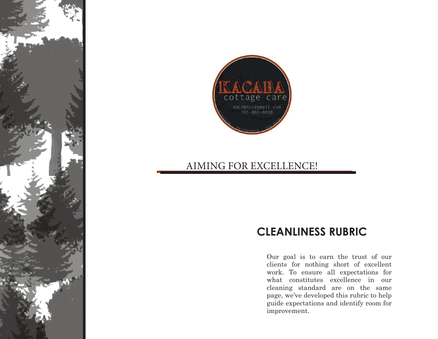

## AIMING FOR EXCELLENCE!

## **CLEANLINESS RUBRIC**

Our goal is to earn the trust of our clients for nothing short of excellent work. To ensure all expectations for what constitutes excellence in our cleaning standard are on the same page, we've developed this rubric to help guide expectations and identify room for improvement.